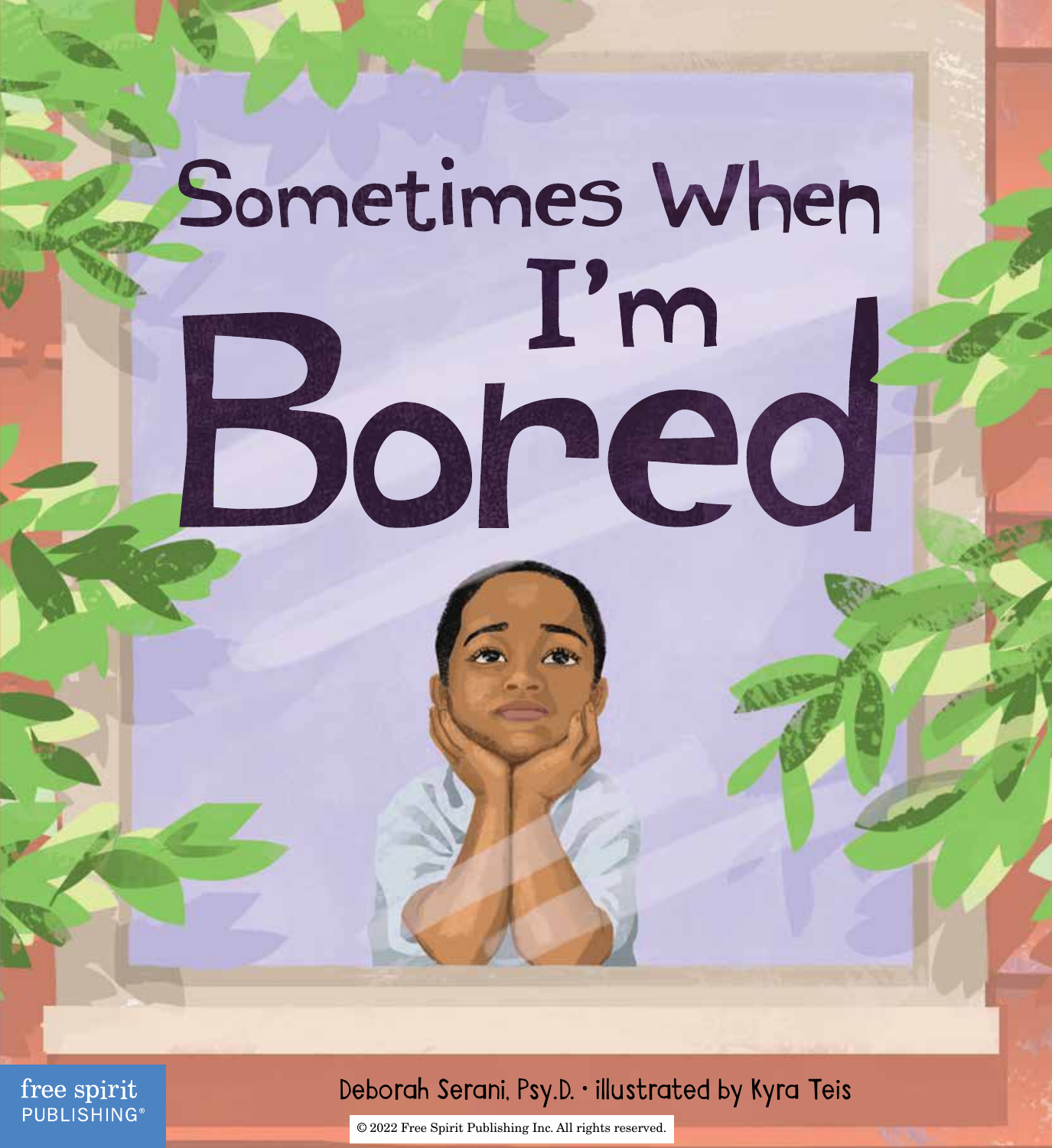## Sometimes When  $\mathbf{I}'$ m Bored

free spirit **PUBLISHING®** 

### Deborah Serani, Psy.D. • illustrated by Kyra Teis

© 2022 Free Spirit Publishing Inc. All rights reserved.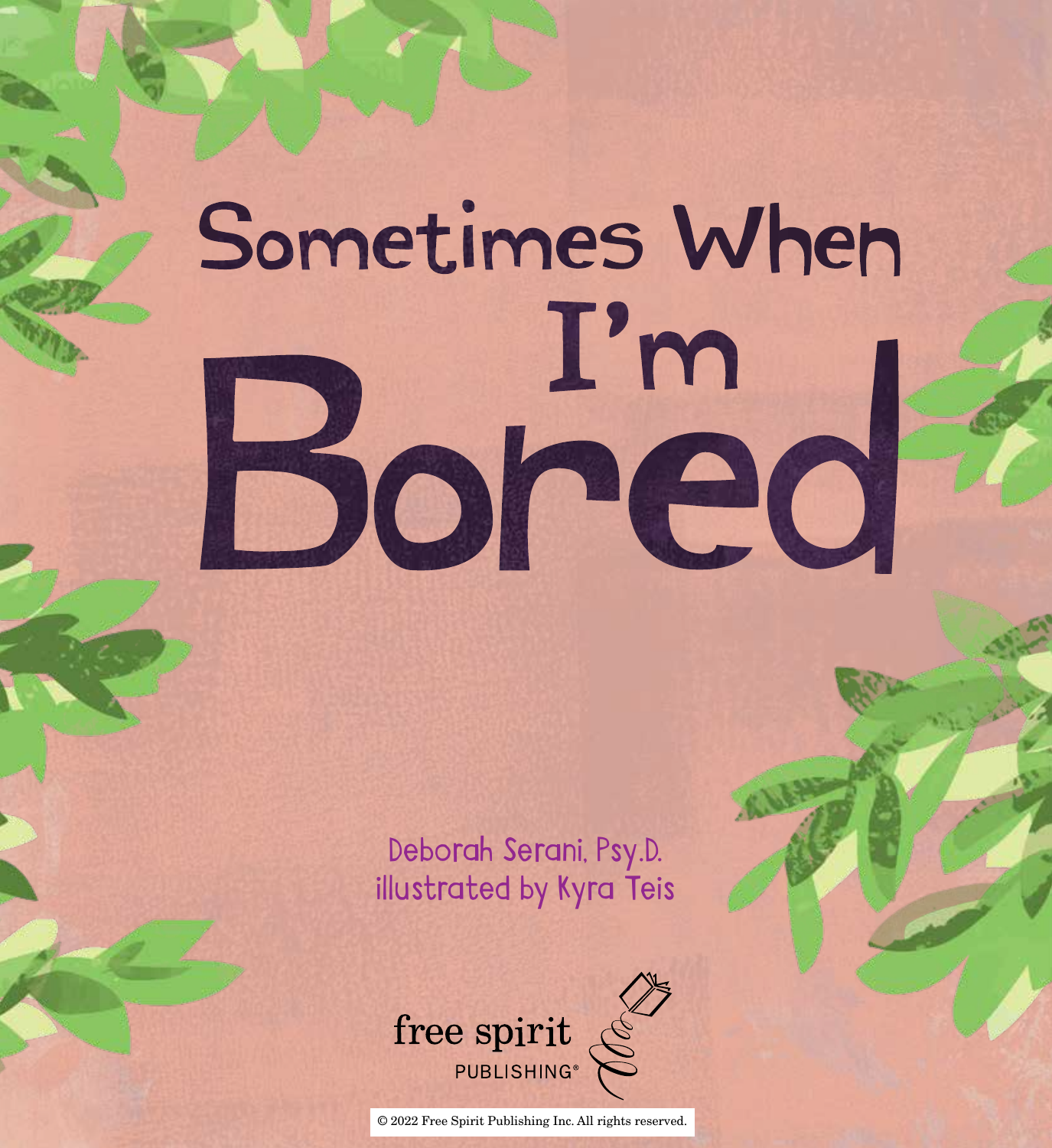# Sometimes When **Bored**

Deborah Serani, Psy.D. illustrated by Kyra Teis



© 2022 Free Spirit Publishing Inc. All rights reserved.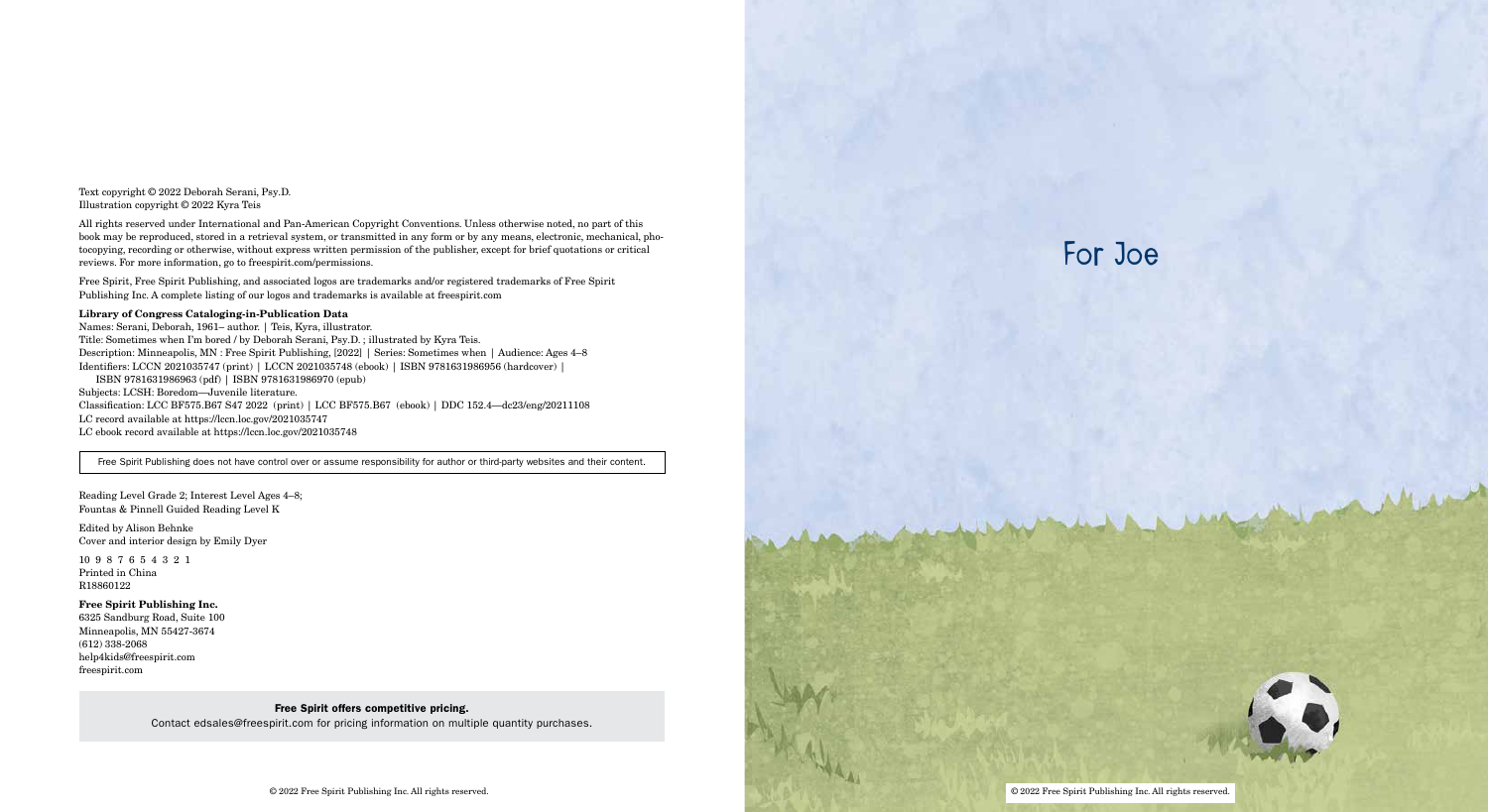## For Joe



Text copyright © 2022 Deborah Serani, Psy.D. Illustration copyright © 2022 Kyra Teis

All rights reserved under International and Pan-American Copyright Conventions. Unless otherwise noted, no part of this book may be reproduced, stored in a retrieval system, or transmitted in any form or by any means, electronic, mechanical, photocopying, recording or otherwise, without express written permission of the publisher, except for brief quotations or critical reviews. For more information, go to freespirit.com/permissions.

Free Spirit, Free Spirit Publishing, and associated logos are trademarks and/or registered trademarks of Free Spirit Publishing Inc. A complete listing of our logos and trademarks is available at freespirit.com

#### Library of Congress Cataloging-in-Publication Data

Names: Serani, Deborah, 1961– author. | Teis, Kyra, illustrator. Title: Sometimes when I'm bored / by Deborah Serani, Psy.D. ; illustrated by Kyra Teis. Description: Minneapolis, MN : Free Spirit Publishing, [2022] | Series: Sometimes when | Audience: Ages 4–8 Identifiers: LCCN 2021035747 (print) | LCCN 2021035748 (ebook) | ISBN 9781631986956 (hardcover) | ISBN 9781631986963 (pdf) | ISBN 9781631986970 (epub) Subjects: LCSH: Boredom—Juvenile literature. Classification: LCC BF575.B67 S47 2022 (print) | LCC BF575.B67 (ebook) | DDC 152.4—dc23/eng/20211108

LC record available at https://lccn.loc.gov/2021035747

LC ebook record available at https://lccn.loc.gov/2021035748

Free Spirit Publishing does not have control over or assume responsibility for author or third-party websites and their content.

Reading Level Grade 2; Interest Level Ages 4–8; Fountas & Pinnell Guided Reading Level K

Edited by Alison Behnke Cover and interior design by Emily Dyer

10 9 8 7 6 5 4 3 2 1 Printed in China R18860122

#### Free Spirit Publishing Inc.

6325 Sandburg Road, Suite 100 Minneapolis, MN 55427-3674 (612) 338-2068 help4kids@freespirit.com freespirit.com

#### Free Spirit offers competitive pricing.

Contact edsales@freespirit.com for pricing information on multiple quantity purchases.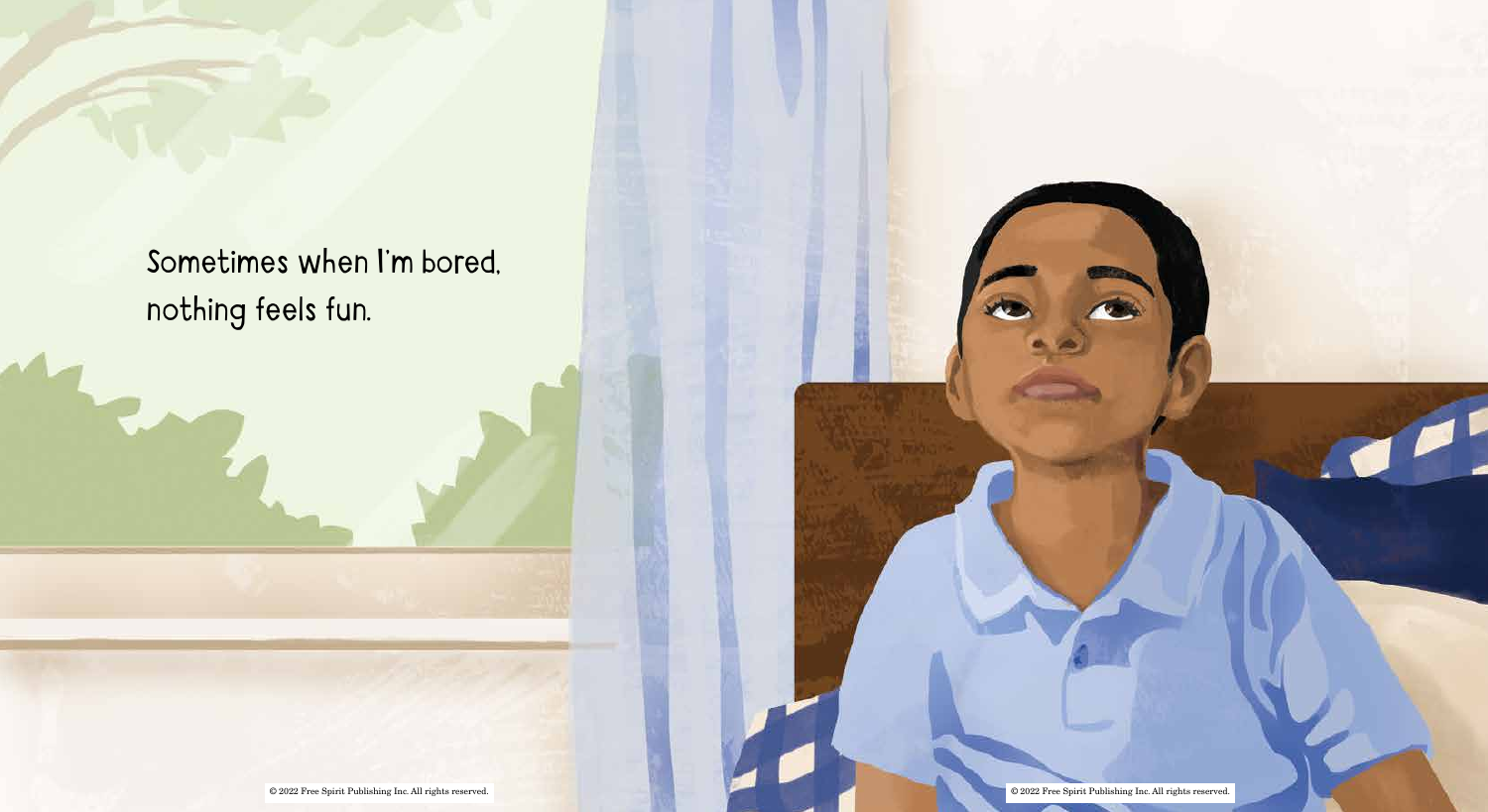Sometimes when I'm bored, nothing feels fun.

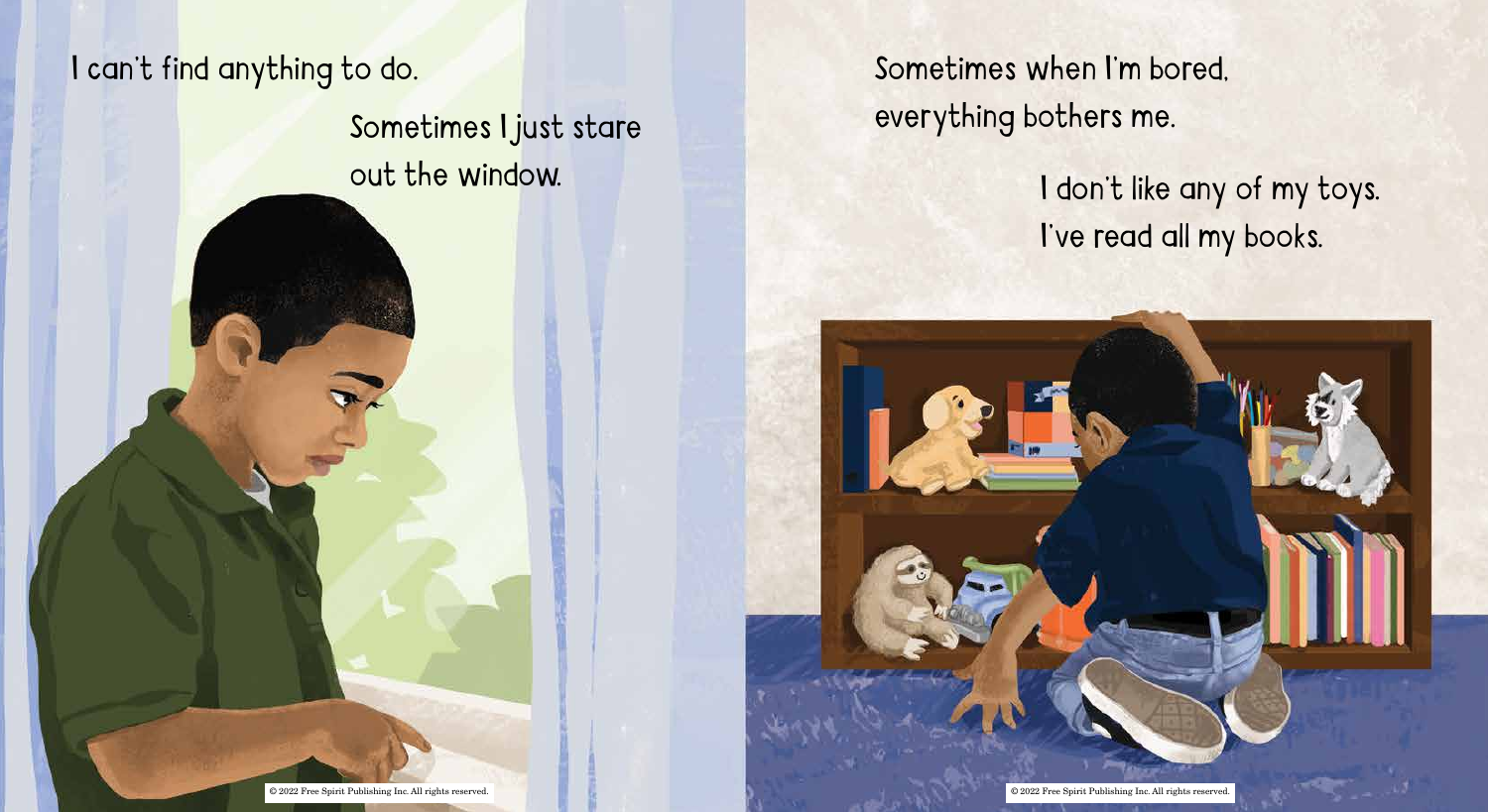## I can't find anything to do.

Sometimes I just stare out the window.

Sometimes when I'm bored, everything bothers me.

## I don't like any of my toys. I've read all my books.